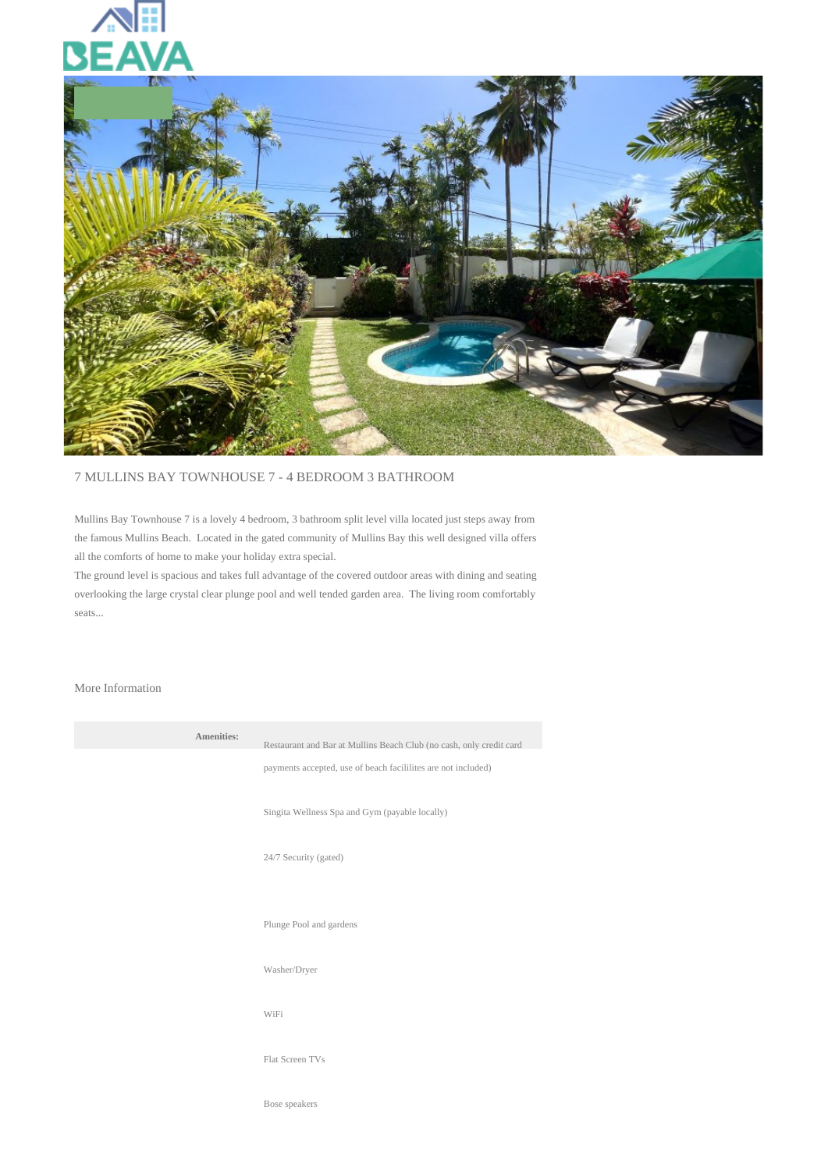



## 7 MULLINS BAY TOWNHOUSE 7 - 4 BEDROOM 3 BATHROOM

Mullins Bay Townhouse 7 is a lovely 4 bedroom, 3 bathroom split level villa located just steps away from the famous Mullins Beach. Located in the gated community of Mullins Bay this well designed villa offers all the comforts of home to make your holiday extra special.

The ground level is spacious and takes full advantage of the covered outdoor areas with dining and seating overlooking the large crystal clear plunge pool and well tended garden area. The living room comfortably seats...

## More Information